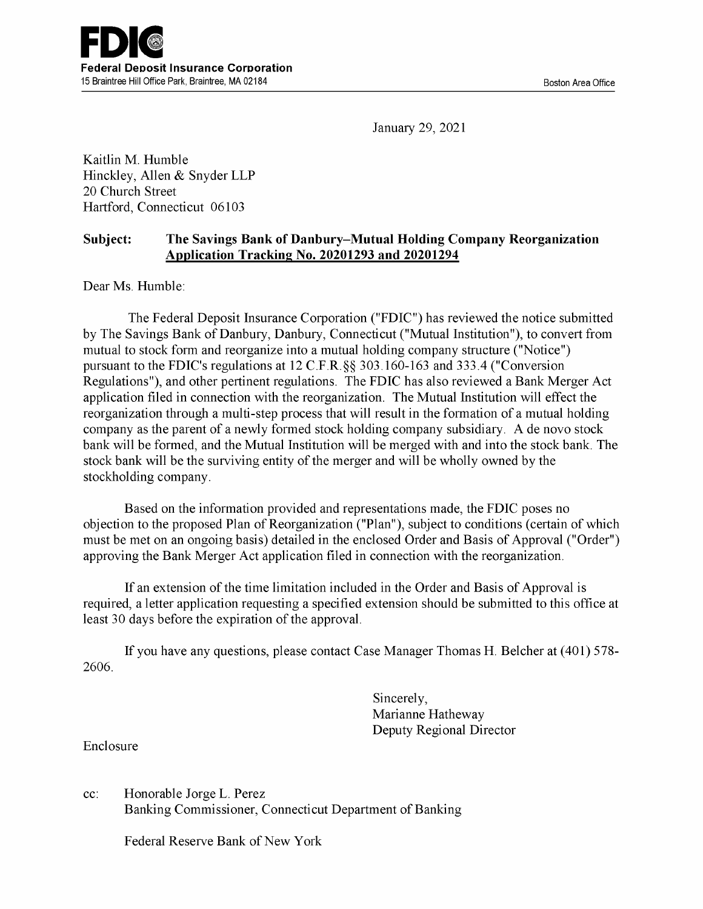January 29, 2021

Kaitlin M. Humble Hinckley, Allen & Snyder LLP 20 Church Street Hartford, Connecticut 06103

## Subject: The Savings Bank of Danbury-Mutual Holding Company Reorganization Application Tracking No. 20201293 and 20201294

Dear Ms. Humble:

The Federal Deposit Insurance Corporation ("FDIC") has reviewed the notice submitted by The Savings Bank of Danbury, Danbury, Connecticut ("Mutual Institution"), to convert from mutual to stock form and reorganize into a mutual holding company structure ("Notice") pursuant to the FDIC's regulations at 12 C.F.R.§§ 303.160-163 and 333.4 ("Conversion Regulations"), and other pertinent regulations. The FDIC has also reviewed a Bank Merger Act application filed in connection with the reorganization. The Mutual Institution will effect the reorganization through a multi-step process that will result in the formation of a mutual holding company as the parent of a newly formed stock holding company subsidiary. A de novo stock bank will be formed, and the Mutual Institution will be merged with and into the stock bank. The stock bank will be the surviving entity of the merger and will be wholly owned by the stockholding company.

Based on the information provided and representations made, the FDIC poses no objection to the proposed Plan of Reorganization ("Plan"), subject to conditions (certain of which must be met on an ongoing basis) detailed in the enclosed Order and Basis of Approval ("Order") approving the Bank Merger Act application filed in connection with the reorganization.

If an extension of the time limitation included in the Order and Basis of Approval is required, a letter application requesting a specified extension should be submitted to this office at least 30 days before the expiration of the approval.

If you have any questions, please contact Case Manager Thomas H. Belcher at (401) 578- 2606.

> Sincerely, Marianne Hatheway Deputy Regional Director

Enclosure

cc: Honorable Jorge L. Perez Banking Commissioner, Connecticut Department of Banking

Federal Reserve Bank of New York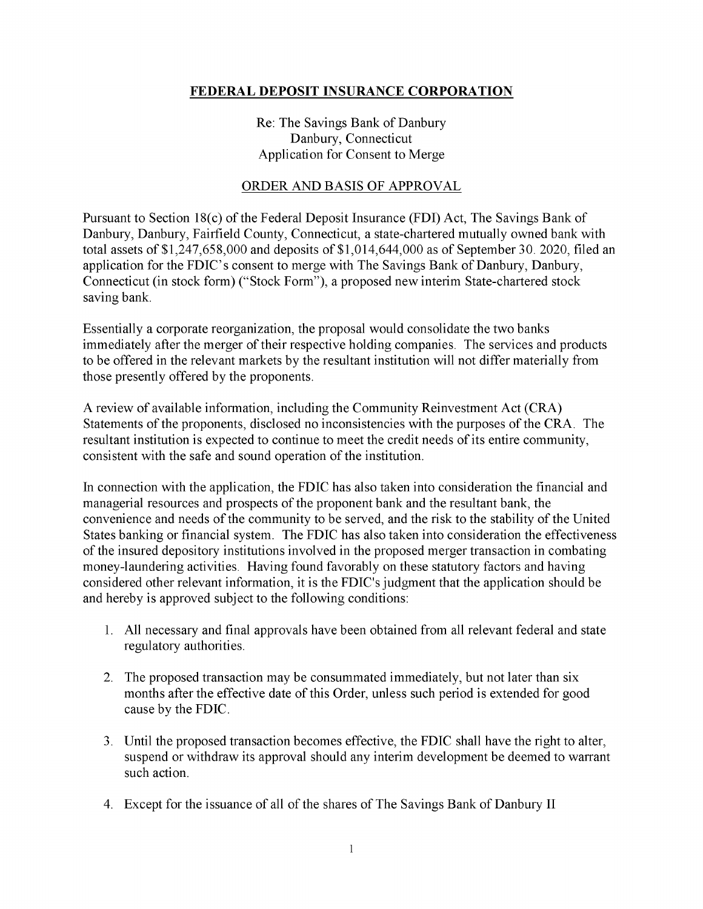## FEDERAL DEPOSIT INSURANCE CORPORATION

Re: The Savings Bank of Danbury Danbury, Connecticut Application for Consent to Merge

## ORDER AND BASIS OF APPROVAL

Pursuant to Section 18(c) of the Federal Deposit Insurance (FDI) Act, The Savings Bank of Danbury, Danbury, Fairfield County, Connecticut, a state -chartered mutually owned bank with total assets of \$1,247,658,000 and deposits of \$1,014,644,000 as of September 30. 2020, filed an application for the FDIC's consent to merge with The Savings Bank of Danbury, Danbury, Connecticut (in stock form) ("Stock Form"), a proposed new interim State -chartered stock saving bank.

Essentially a corporate reorganization, the proposal would consolidate the two banks immediately after the merger of their respective holding companies. The services and products to be offered in the relevant markets by the resultant institution will not differ materially from those presently offered by the proponents.

A review of available information, including the Community Reinvestment Act (CRA) Statements of the proponents, disclosed no inconsistencies with the purposes of the CRA. The resultant institution is expected to continue to meet the credit needs of its entire community, consistent with the safe and sound operation of the institution.

In connection with the application, the FDIC has also taken into consideration the financial and managerial resources and prospects of the proponent bank and the resultant bank, the convenience and needs of the community to be served, and the risk to the stability of the United States banking or financial system. The FDIC has also taken into consideration the effectiveness of the insured depository institutions involved in the proposed merger transaction in combating money-laundering activities. Having found favorably on these statutory factors and having considered other relevant information, it is the FDIC's judgment that the application should be and hereby is approved subject to the following conditions:

- 1. All necessary and final approvals have been obtained from all relevant federal and state regulatory authorities.
- 2. The proposed transaction may be consummated immediately, but not later than six months after the effective date of this Order, unless such period is extended for good cause by the FDIC.
- 3. Until the proposed transaction becomes effective, the FDIC shall have the right to alter, suspend or withdraw its approval should any interim development be deemed to warrant such action.
- 4. Except for the issuance of all of the shares of The Savings Bank of Danbury II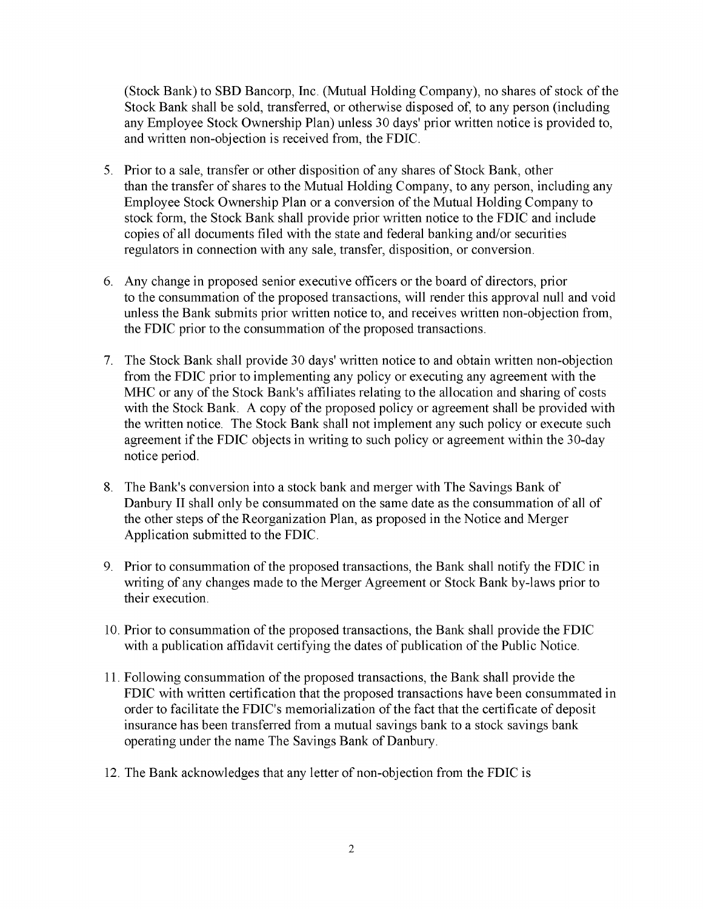(Stock Bank) to SBD Bancorp, Inc. (Mutual Holding Company), no shares of stock of the Stock Bank shall be sold, transferred, or otherwise disposed of, to any person (including any Employee Stock Ownership Plan) unless 30 days' prior written notice is provided to, and written non -objection is received from, the FDIC.

- 5. Prior to a sale, transfer or other disposition of any shares of Stock Bank, other than the transfer of shares to the Mutual Holding Company, to any person, including any Employee Stock Ownership Plan or a conversion of the Mutual Holding Company to stock form, the Stock Bank shall provide prior written notice to the FDIC and include copies of all documents filed with the state and federal banking and/or securities regulators in connection with any sale, transfer, disposition, or conversion.
- 6. Any change in proposed senior executive officers or the board of directors, prior to the consummation of the proposed transactions, will render this approval null and void unless the Bank submits prior written notice to, and receives written non -objection from, the FDIC prior to the consummation of the proposed transactions.
- 7. The Stock Bank shall provide 30 days' written notice to and obtain written non -objection from the FDIC prior to implementing any policy or executing any agreement with the MHC or any of the Stock Bank's affiliates relating to the allocation and sharing of costs with the Stock Bank. A copy of the proposed policy or agreement shall be provided with the written notice. The Stock Bank shall not implement any such policy or execute such agreement if the FDIC objects in writing to such policy or agreement within the 30 -day notice period.
- 8. The Bank's conversion into a stock bank and merger with The Savings Bank of Danbury II shall only be consummated on the same date as the consummation of all of the other steps of the Reorganization Plan, as proposed in the Notice and Merger Application submitted to the FDIC.
- 9. Prior to consummation of the proposed transactions, the Bank shall notify the FDIC in writing of any changes made to the Merger Agreement or Stock Bank by-laws prior to their execution.
- 10. Prior to consummation of the proposed transactions, the Bank shall provide the FDIC with a publication affidavit certifying the dates of publication of the Public Notice.
- 11. Following consummation of the proposed transactions, the Bank shall provide the FDIC with written certification that the proposed transactions have been consummated in order to facilitate the FDIC's memorialization of the fact that the certificate of deposit insurance has been transferred from a mutual savings bank to a stock savings bank operating under the name The Savings Bank of Danbury.
- 12. The Bank acknowledges that any letter of non -objection from the FDIC is